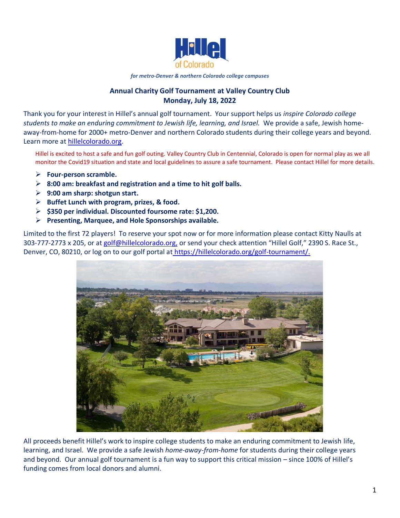

#### *for metro-Denver & northern Colorado college campuses*

# **Annual Charity Golf Tournament at Valley Country Club Monday, July 18, 2022**

Thank you for your interest in Hillel's annual golf tournament. Your support helps us *inspire Colorado college students to make an enduring commitment to Jewish life, learning, and Israel.* We provide a safe, Jewish home‐ away-from-home for 2000+ metro-Denver and northern Colorado students during their college years and beyond. Learn more at [hillelcolorado.org.](http://hillelcolorado.org/)

Hillel is excited to host a safe and fun golf outing. Valley Country Club in Centennial, Colorado is open for normal play as we all monitor the Covid19 situation and state and local guidelines to assure a safe tournament. Please contact Hillel for more details.

- ➢ **Four-person scramble.**
- ➢ **8:00 am: breakfast and registration and a time to hit golf balls.**
- ➢ **9:00 am sharp: shotgun start.**
- ➢ **Buffet Lunch with program, prizes, & food.**
- ➢ **\$350 per individual. Discounted foursome rate: \$1,200.**
- ➢ **Presenting, Marquee, and Hole Sponsorships available.**

Limited to the first 72 players! To reserve your spot now or for more information please contact Kitty Naulls at 303-777-2773 x 205, or at [golf@hillelcolorado.org,](mailto:accounting@hillelcolorado.org) or send your check attention "Hillel Golf," 2390 S. Race St., Denver, CO, 80210, or log on to our golf portal at [https://hillelcolorado.org/golf-tournament/.](https://hillelcolorado.org/golf-tournament/)



All proceeds benefit Hillel's work to inspire college students to make an enduring commitment to Jewish life, learning, and Israel. We provide a safe Jewish *home‐away‐from‐home* for students during their college years and beyond. Our annual golf tournament is a fun way to support this critical mission – since 100% of Hillel's funding comes from local donors and alumni.